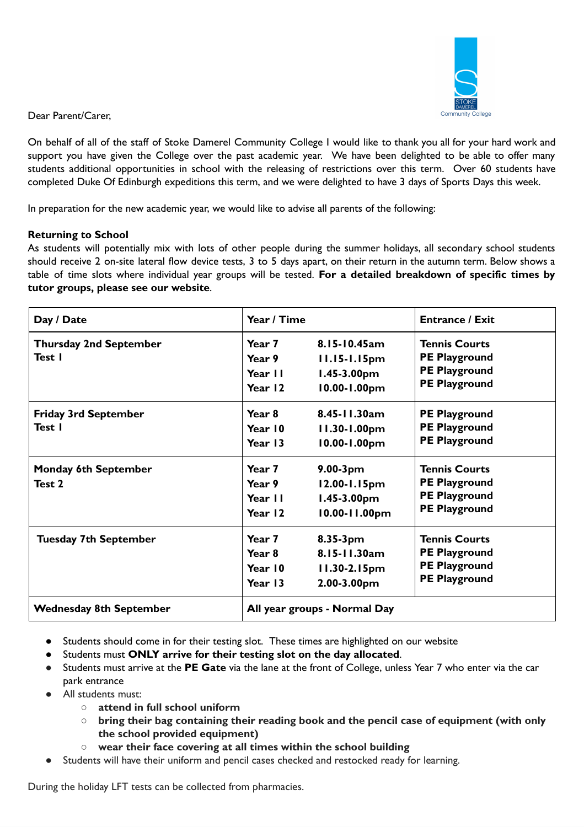

Dear Parent/Carer,

On behalf of all of the staff of Stoke Damerel Community College I would like to thank you all for your hard work and support you have given the College over the past academic year. We have been delighted to be able to offer many students additional opportunities in school with the releasing of restrictions over this term. Over 60 students have completed Duke Of Edinburgh expeditions this term, and we were delighted to have 3 days of Sports Days this week.

In preparation for the new academic year, we would like to advise all parents of the following:

# **Returning to School**

As students will potentially mix with lots of other people during the summer holidays, all secondary school students should receive 2 on-site lateral flow device tests, 3 to 5 days apart, on their return in the autumn term. Below shows a table of time slots where individual year groups will be tested. **For a detailed breakdown of specific times by tutor groups, please see our website**.

| Day / Date                              | Year / Time                                       |                                                                  | <b>Entrance / Exit</b>                                                                       |
|-----------------------------------------|---------------------------------------------------|------------------------------------------------------------------|----------------------------------------------------------------------------------------------|
| <b>Thursday 2nd September</b><br>Test I | Year 7<br>Year 9<br>Year II<br>Year 12            | 8.15-10.45am<br>11.15-1.15pm<br>$1.45 - 3.00$ pm<br>10.00-1.00pm | <b>Tennis Courts</b><br><b>PE Playground</b><br><b>PE Playground</b><br><b>PE Playground</b> |
| <b>Friday 3rd September</b><br>Test I   | Year 8<br>Year 10<br>Year 13                      | 8.45-11.30am<br>11.30-1.00pm<br>10.00-1.00pm                     | <b>PE Playground</b><br><b>PE Playground</b><br><b>PE Playground</b>                         |
| <b>Monday 6th September</b><br>Test 2   | Year 7<br>Year 9<br>Year II<br>Year 12            | $9.00-3pm$<br>12.00-1.15pm<br>$1.45 - 3.00$ pm<br>10.00-11.00pm  | <b>Tennis Courts</b><br><b>PE Playground</b><br><b>PE Playground</b><br><b>PE Playground</b> |
| <b>Tuesday 7th September</b>            | Year 7<br>Year <sub>8</sub><br>Year 10<br>Year 13 | 8.35-3pm<br>8.15-11.30am<br>11.30-2.15pm<br>2.00-3.00pm          | <b>Tennis Courts</b><br><b>PE Playground</b><br><b>PE Playground</b><br><b>PE Playground</b> |
| <b>Wednesday 8th September</b>          | All year groups - Normal Day                      |                                                                  |                                                                                              |

- Students should come in for their testing slot. These times are highlighted on our website
- Students must **ONLY arrive for their testing slot on the day allocated**.
- Students must arrive at the **PE Gate** via the lane at the front of College, unless Year 7 who enter via the car park entrance
- All students must:
	- **○ attend in full school uniform**
	- **○ bring their bag containing their reading book and the pencil case of equipment (with only the school provided equipment)**
	- **○ wear their face covering at all times within the school building**
- Students will have their uniform and pencil cases checked and restocked ready for learning.

During the holiday LFT tests can be collected from pharmacies.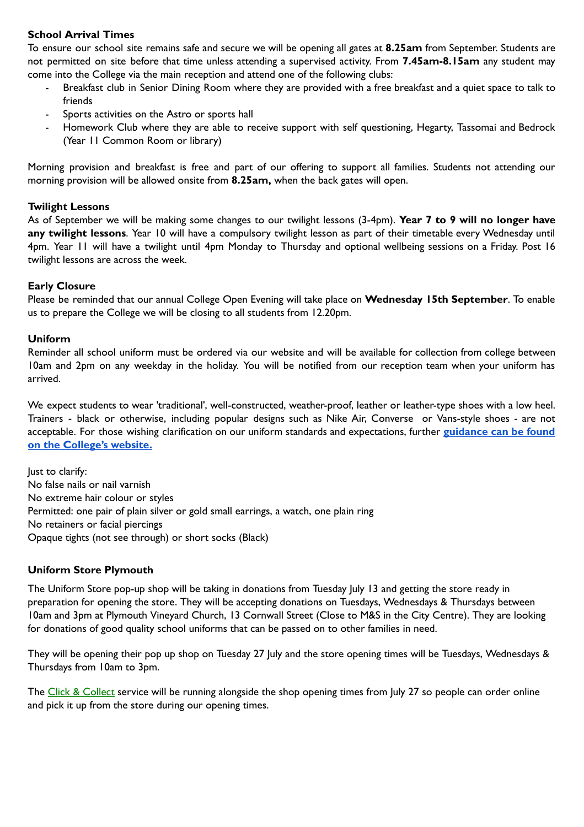# **School Arrival Times**

To ensure our school site remains safe and secure we will be opening all gates at **8.25am** from September. Students are not permitted on site before that time unless attending a supervised activity. From **7.45am-8.15am** any student may come into the College via the main reception and attend one of the following clubs:

- Breakfast club in Senior Dining Room where they are provided with a free breakfast and a quiet space to talk to friends
- Sports activities on the Astro or sports hall
- Homework Club where they are able to receive support with self questioning, Hegarty, Tassomai and Bedrock (Year 11 Common Room or library)

Morning provision and breakfast is free and part of our offering to support all families. Students not attending our morning provision will be allowed onsite from **8.25am,** when the back gates will open.

## **Twilight Lessons**

As of September we will be making some changes to our twilight lessons (3-4pm). **Year 7 to 9 will no longer have any twilight lessons**. Year 10 will have a compulsory twilight lesson as part of their timetable every Wednesday until 4pm. Year 11 will have a twilight until 4pm Monday to Thursday and optional wellbeing sessions on a Friday. Post 16 twilight lessons are across the week.

## **Early Closure**

Please be reminded that our annual College Open Evening will take place on **Wednesday 15th September**. To enable us to prepare the College we will be closing to all students from 12.20pm.

## **Uniform**

Reminder all school uniform must be ordered via our website and will be available for collection from college between 10am and 2pm on any weekday in the holiday. You will be notified from our reception team when your uniform has arrived.

We expect students to wear 'traditional', well-constructed, weather-proof, leather or leather-type shoes with a low heel. Trainers - black or otherwise, including popular designs such as Nike Air, Converse or Vans-style shoes - are not acceptable. For those wishing clarification on our uniform standards and expectations, further **[guidance](https://files.schudio.com/stokedamerel/files/documents/policies/Uniform_Policy.pdf) can be found on the [College's](https://files.schudio.com/stokedamerel/files/documents/policies/Uniform_Policy.pdf) website.**

Just to clarify: No false nails or nail varnish No extreme hair colour or styles Permitted: one pair of plain silver or gold small earrings, a watch, one plain ring No retainers or facial piercings Opaque tights (not see through) or short socks (Black)

# **Uniform Store Plymouth**

The Uniform Store pop-up shop will be taking in donations from Tuesday July 13 and getting the store ready in preparation for opening the store. They will be accepting donations on Tuesdays, Wednesdays & Thursdays between 10am and 3pm at Plymouth Vineyard Church, 13 Cornwall Street (Close to M&S in the City Centre). They are looking for donations of good quality school uniforms that can be passed on to other families in need.

They will be opening their pop up shop on Tuesday 27 July and the store opening times will be Tuesdays, Wednesdays & Thursdays from 10am to 3pm.

The Click & [Collect](https://eur02.safelinks.protection.outlook.com/?url=https%3A%2F%2Fwww.uniformstoreplymouth.co.uk%2Fclick-and-collect%2F&data=04%7C01%7CLucinda.Ross%40plymouth.gov.uk%7Ca97988d564f248c474c708d94119e51c%7Ca9a3c3d1fc0f4943bc2ad73e388cc2df%7C0%7C0%7C637612401728243827%7CUnknown%7CTWFpbGZsb3d8eyJWIjoiMC4wLjAwMDAiLCJQIjoiV2luMzIiLCJBTiI6Ik1haWwiLCJXVCI6Mn0%3D%7C1000&sdata=XPPhbMTZ4hGoStD0fMIDYd%2FXmN4z%2F%2By5fUf4vyABxUA%3D&reserved=0) service will be running alongside the shop opening times from July 27 so people can order online and pick it up from the store during our opening times.